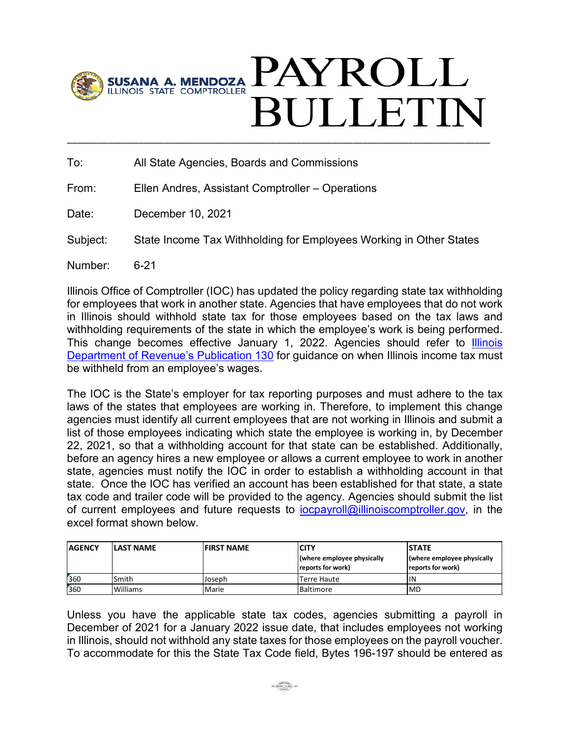

## PAYROLL **SULLETIN** \_\_\_\_\_\_\_\_\_\_\_\_\_\_\_\_\_\_\_\_\_\_\_\_\_\_\_\_\_\_\_\_\_\_\_\_\_\_\_\_\_\_\_\_\_\_\_\_\_\_\_\_\_\_\_\_\_\_\_\_\_\_\_\_\_\_\_\_\_\_\_\_\_\_\_\_\_\_\_\_\_\_\_

To: All State Agencies, Boards and Commissions

From: Ellen Andres, Assistant Comptroller – Operations

Date: December 10, 2021

Subject: State Income Tax Withholding for Employees Working in Other States

Number: 6-21

Illinois Office of Comptroller (IOC) has updated the policy regarding state tax withholding for employees that work in another state. Agencies that have employees that do not work in Illinois should withhold state tax for those employees based on the tax laws and withholding requirements of the state in which the employee's work is being performed. This change becomes effective January 1, 2022. Agencies should refer to **Illinois** [Department of Revenue's Publication 130](https://www2.illinois.gov/rev/research/publications/pubs/Documents/pub-130.pdf) for guidance on when Illinois income tax must be withheld from an employee's wages.

The IOC is the State's employer for tax reporting purposes and must adhere to the tax laws of the states that employees are working in. Therefore, to implement this change agencies must identify all current employees that are not working in Illinois and submit a list of those employees indicating which state the employee is working in, by December 22, 2021, so that a withholding account for that state can be established. Additionally, before an agency hires a new employee or allows a current employee to work in another state, agencies must notify the IOC in order to establish a withholding account in that state. Once the IOC has verified an account has been established for that state, a state tax code and trailer code will be provided to the agency. Agencies should submit the list of current employees and future requests to [iocpayroll@illinoiscomptroller.gov,](mailto:iocpayroll@illinoiscomptroller.gov) in the excel format shown below.

| <b>AGENCY</b> | <b>LAST NAME</b> | <b>FIRST NAME</b> | <b>CITY</b>                                     | <b>STATE</b>                                    |
|---------------|------------------|-------------------|-------------------------------------------------|-------------------------------------------------|
|               |                  |                   | (where employee physically<br>reports for work) | (where employee physically<br>reports for work) |
| 360           | Smith            | Joseph            | Terre Haute                                     | ΠN                                              |
| 360           | <b>Williams</b>  | Marie             | <b>IBaltimore</b>                               | MD                                              |

Unless you have the applicable state tax codes, agencies submitting a payroll in December of 2021 for a January 2022 issue date, that includes employees not working in Illinois, should not withhold any state taxes for those employees on the payroll voucher. To accommodate for this the State Tax Code field, Bytes 196-197 should be entered as